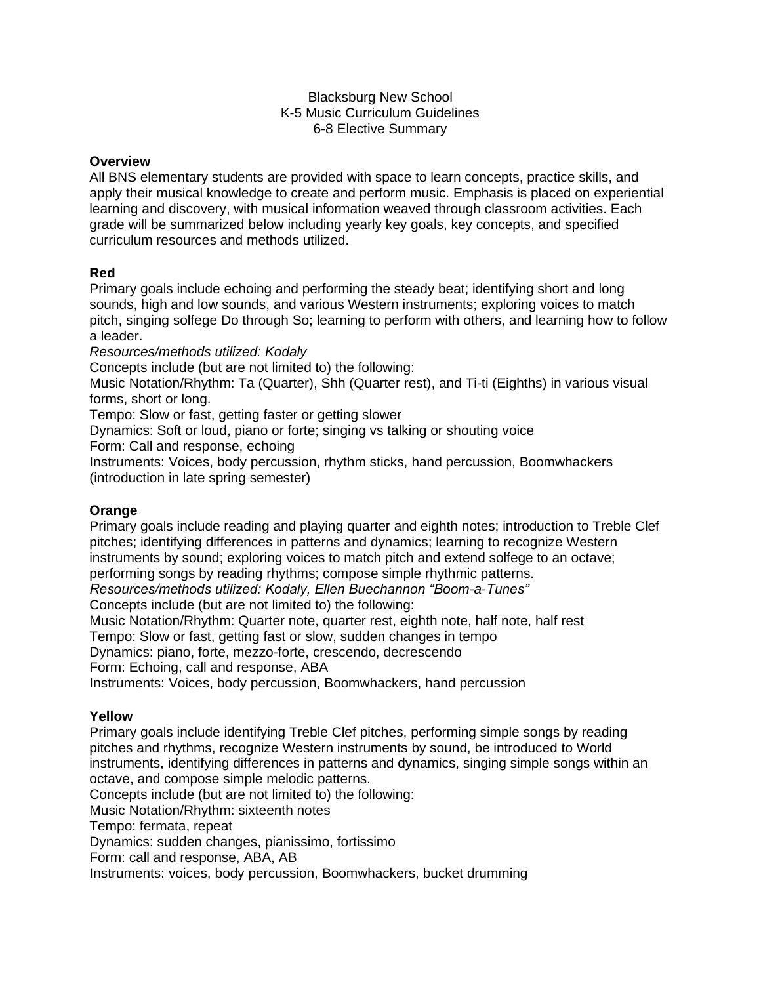#### Blacksburg New School K-5 Music Curriculum Guidelines 6-8 Elective Summary

#### **Overview**

All BNS elementary students are provided with space to learn concepts, practice skills, and apply their musical knowledge to create and perform music. Emphasis is placed on experiential learning and discovery, with musical information weaved through classroom activities. Each grade will be summarized below including yearly key goals, key concepts, and specified curriculum resources and methods utilized.

#### **Red**

Primary goals include echoing and performing the steady beat; identifying short and long sounds, high and low sounds, and various Western instruments; exploring voices to match pitch, singing solfege Do through So; learning to perform with others, and learning how to follow a leader.

*Resources/methods utilized: Kodaly*

Concepts include (but are not limited to) the following:

Music Notation/Rhythm: Ta (Quarter), Shh (Quarter rest), and Ti-ti (Eighths) in various visual forms, short or long.

Tempo: Slow or fast, getting faster or getting slower

Dynamics: Soft or loud, piano or forte; singing vs talking or shouting voice

Form: Call and response, echoing

Instruments: Voices, body percussion, rhythm sticks, hand percussion, Boomwhackers (introduction in late spring semester)

### **Orange**

Primary goals include reading and playing quarter and eighth notes; introduction to Treble Clef pitches; identifying differences in patterns and dynamics; learning to recognize Western instruments by sound; exploring voices to match pitch and extend solfege to an octave; performing songs by reading rhythms; compose simple rhythmic patterns. *Resources/methods utilized: Kodaly, Ellen Buechannon "Boom-a-Tunes"* Concepts include (but are not limited to) the following: Music Notation/Rhythm: Quarter note, quarter rest, eighth note, half note, half rest Tempo: Slow or fast, getting fast or slow, sudden changes in tempo Dynamics: piano, forte, mezzo-forte, crescendo, decrescendo Form: Echoing, call and response, ABA Instruments: Voices, body percussion, Boomwhackers, hand percussion

### **Yellow**

Primary goals include identifying Treble Clef pitches, performing simple songs by reading pitches and rhythms, recognize Western instruments by sound, be introduced to World instruments, identifying differences in patterns and dynamics, singing simple songs within an octave, and compose simple melodic patterns.

Concepts include (but are not limited to) the following:

Music Notation/Rhythm: sixteenth notes

Tempo: fermata, repeat

Dynamics: sudden changes, pianissimo, fortissimo

Form: call and response, ABA, AB

Instruments: voices, body percussion, Boomwhackers, bucket drumming